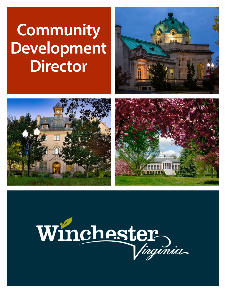# **Community Development Director**







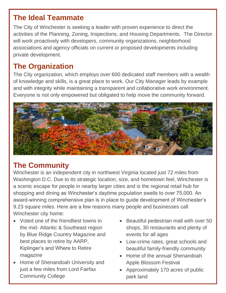#### **The Ideal Teammate**

The City of Winchester is seeking a leader with proven experience to direct the activities of the Planning, Zoning, Inspections, and Housing Departments. The Director will work proactively with developers, community organizations, neighborhood associations and agency officials on current or proposed developments including private development.

## **The Organization**

The City organization, which employs over 600 dedicated staff members with a wealth of knowledge and skills, is a great place to work. Our City Manager leads by example and with integrity while maintaining a transparent and collaborative work environment. Everyone is not only empowered but obligated to help move the community forward.



# **The Community**

Winchester is an independent city in northwest Virginia located just 72 miles from Washington D.C. Due to its strategic location, size, and hometown feel, Winchester is a scenic escape for people in nearby larger cities and is the regional retail hub for shopping and dining as Winchester's daytime population swells to over 75,000. An award-winning comprehensive plan is in place to guide development of Winchester's 9.23 square miles. Here are a few reasons many people and businesses call Winchester city home:

- Voted one of the friendliest towns in the mid- Atlantic & Southeast region by Blue Ridge Country Magazine and best places to retire by AARP, Kiplinger's and Where to Retire magazine
- Home of Shenandoah University and just a few miles from Lord Fairfax Community College
- Beautiful pedestrian mall with over 50 shops, 30 restaurants and plenty of events for all ages
- Low-crime rates, great schools and beautiful family-friendly community
- Home of the annual Shenandoah Apple Blossom Festival
- Approximately 170 acres of public park land